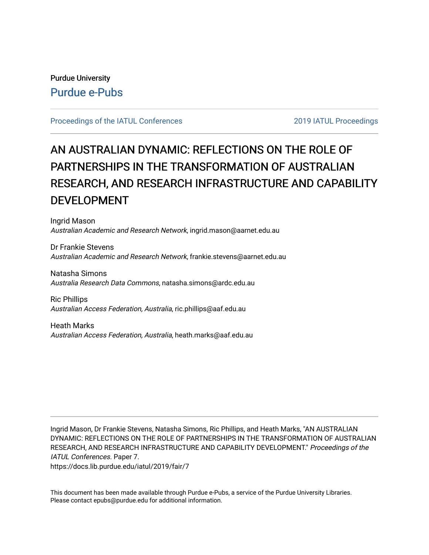# Purdue University [Purdue e-Pubs](https://docs.lib.purdue.edu/)

# [Proceedings of the IATUL Conferences](https://docs.lib.purdue.edu/iatul) [2019 IATUL Proceedings](https://docs.lib.purdue.edu/iatul/2019)

# AN AUSTRALIAN DYNAMIC: REFLECTIONS ON THE ROLE OF PARTNERSHIPS IN THE TRANSFORMATION OF AUSTRALIAN RESEARCH, AND RESEARCH INFRASTRUCTURE AND CAPABILITY DEVELOPMENT

Ingrid Mason Australian Academic and Research Network, ingrid.mason@aarnet.edu.au

Dr Frankie Stevens Australian Academic and Research Network, frankie.stevens@aarnet.edu.au

Natasha Simons Australia Research Data Commons, natasha.simons@ardc.edu.au

Ric Phillips Australian Access Federation, Australia, ric.phillips@aaf.edu.au

Heath Marks Australian Access Federation, Australia, heath.marks@aaf.edu.au

Ingrid Mason, Dr Frankie Stevens, Natasha Simons, Ric Phillips, and Heath Marks, "AN AUSTRALIAN DYNAMIC: REFLECTIONS ON THE ROLE OF PARTNERSHIPS IN THE TRANSFORMATION OF AUSTRALIAN RESEARCH, AND RESEARCH INFRASTRUCTURE AND CAPABILITY DEVELOPMENT." Proceedings of the IATUL Conferences. Paper 7. https://docs.lib.purdue.edu/iatul/2019/fair/7

This document has been made available through Purdue e-Pubs, a service of the Purdue University Libraries. Please contact epubs@purdue.edu for additional information.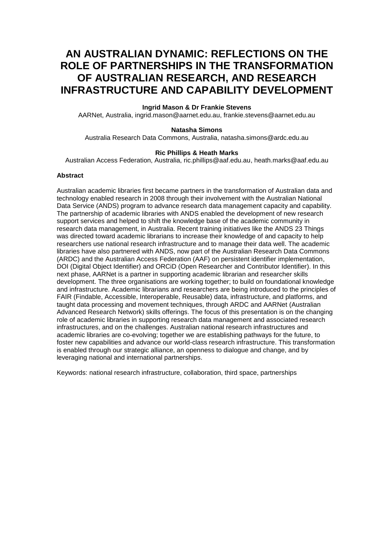# **AN AUSTRALIAN DYNAMIC: REFLECTIONS ON THE ROLE OF PARTNERSHIPS IN THE TRANSFORMATION OF AUSTRALIAN RESEARCH, AND RESEARCH INFRASTRUCTURE AND CAPABILITY DEVELOPMENT**

## **Ingrid Mason & Dr Frankie Stevens**

AARNet, Australia, ingrid.mason@aarnet.edu.au, frankie.stevens@aarnet.edu.au

#### **Natasha Simons**

Australia Research Data Commons, Australia, natasha.simons@ardc.edu.au

#### **Ric Phillips & Heath Marks**

Australian Access Federation, Australia, ric.phillips@aaf.edu.au, heath.marks@aaf.edu.au

#### **Abstract**

Australian academic libraries first became partners in the transformation of Australian data and technology enabled research in 2008 through their involvement with the Australian National Data Service (ANDS) program to advance research data management capacity and capability. The partnership of academic libraries with ANDS enabled the development of new research support services and helped to shift the knowledge base of the academic community in research data management, in Australia. Recent training initiatives like the ANDS 23 Things was directed toward academic librarians to increase their knowledge of and capacity to help researchers use national research infrastructure and to manage their data well. The academic libraries have also partnered with ANDS, now part of the Australian Research Data Commons (ARDC) and the Australian Access Federation (AAF) on persistent identifier implementation, DOI (Digital Object Identifier) and ORCiD (Open Researcher and Contributor Identifier). In this next phase, AARNet is a partner in supporting academic librarian and researcher skills development. The three organisations are working together; to build on foundational knowledge and infrastructure. Academic librarians and researchers are being introduced to the principles of FAIR (Findable, Accessible, Interoperable, Reusable) data, infrastructure, and platforms, and taught data processing and movement techniques, through ARDC and AARNet (Australian Advanced Research Network) skills offerings. The focus of this presentation is on the changing role of academic libraries in supporting research data management and associated research infrastructures, and on the challenges. Australian national research infrastructures and academic libraries are co-evolving; together we are establishing pathways for the future, to foster new capabilities and advance our world-class research infrastructure. This transformation is enabled through our strategic alliance, an openness to dialogue and change, and by leveraging national and international partnerships.

Keywords: national research infrastructure, collaboration, third space, partnerships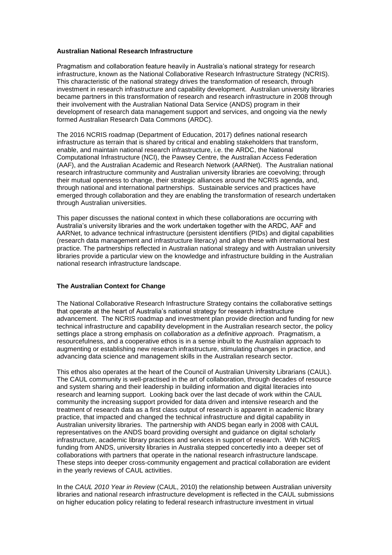## **Australian National Research Infrastructure**

Pragmatism and collaboration feature heavily in Australia's national strategy for research infrastructure, known as the National Collaborative Research Infrastructure Strategy (NCRIS). This characteristic of the national strategy drives the transformation of research, through investment in research infrastructure and capability development. Australian university libraries became partners in this transformation of research and research infrastructure in 2008 through their involvement with the Australian National Data Service (ANDS) program in their development of research data management support and services, and ongoing via the newly formed Australian Research Data Commons (ARDC).

The 2016 NCRIS roadmap (Department of Education, 2017) defines national research infrastructure as terrain that is shared by critical and enabling stakeholders that transform, enable, and maintain national research infrastructure, i.e. the ARDC, the National Computational Infrastructure (NCI), the Pawsey Centre, the Australian Access Federation (AAF), and the Australian Academic and Research Network (AARNet). The Australian national research infrastructure community and Australian university libraries are coevolving; through their mutual openness to change, their strategic alliances around the NCRIS agenda, and, through national and international partnerships. Sustainable services and practices have emerged through collaboration and they are enabling the transformation of research undertaken through Australian universities.

This paper discusses the national context in which these collaborations are occurring with Australia's university libraries and the work undertaken together with the ARDC, AAF and AARNet, to advance technical infrastructure (persistent identifiers (PIDs) and digital capabilities (research data management and infrastructure literacy) and align these with international best practice. The partnerships reflected in Australian national strategy and with Australian university libraries provide a particular view on the knowledge and infrastructure building in the Australian national research infrastructure landscape.

# **The Australian Context for Change**

The National Collaborative Research Infrastructure Strategy contains the collaborative settings that operate at the heart of Australia's national strategy for research infrastructure advancement. The NCRIS roadmap and investment plan provide direction and funding for new technical infrastructure and capability development in the Australian research sector, the policy settings place a strong emphasis on *collaboration as a definitive approach*. Pragmatism, a resourcefulness, and a cooperative ethos is in a sense inbuilt to the Australian approach to augmenting or establishing new research infrastructure, stimulating changes in practice, and advancing data science and management skills in the Australian research sector.

This ethos also operates at the heart of the Council of Australian University Librarians (CAUL). The CAUL community is well-practised in the art of collaboration, through decades of resource and system sharing and their leadership in building information and digital literacies into research and learning support. Looking back over the last decade of work within the CAUL community the increasing support provided for data driven and intensive research and the treatment of research data as a first class output of research is apparent in academic library practice, that impacted and changed the technical infrastructure and digital capability in Australian university libraries. The partnership with ANDS began early in 2008 with CAUL representatives on the ANDS board providing oversight and guidance on digital scholarly infrastructure, academic library practices and services in support of research. With NCRIS funding from ANDS, university libraries in Australia stepped concertedly into a deeper set of collaborations with partners that operate in the national research infrastructure landscape. These steps into deeper cross-community engagement and practical collaboration are evident in the yearly reviews of CAUL activities.

In the *CAUL 2010 Year in Review* (CAUL, 2010) the relationship between Australian university libraries and national research infrastructure development is reflected in the CAUL submissions on higher education policy relating to federal research infrastructure investment in virtual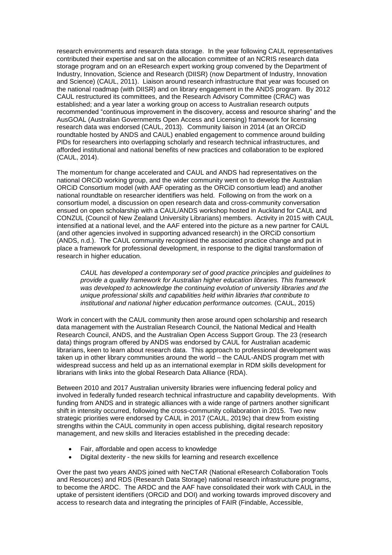research environments and research data storage. In the year following CAUL representatives contributed their expertise and sat on the allocation committee of an NCRIS research data storage program and on an eResearch expert working group convened by the Department of Industry, Innovation, Science and Research (DIISR) (now Department of Industry, Innovation and Science) (CAUL, 2011). Liaison around research infrastructure that year was focused on the national roadmap (with DIISR) and on library engagement in the ANDS program. By 2012 CAUL restructured its committees, and the Research Advisory Committee (CRAC) was established; and a year later a working group on access to Australian research outputs recommended "continuous improvement in the discovery, access and resource sharing" and the AusGOAL (Australian Governments Open Access and Licensing) framework for licensing research data was endorsed (CAUL, 2013). Community liaison in 2014 (at an ORCiD roundtable hosted by ANDS and CAUL) enabled engagement to commence around building PIDs for researchers into overlapping scholarly and research technical infrastructures, and afforded institutional and national benefits of new practices and collaboration to be explored (CAUL, 2014).

The momentum for change accelerated and CAUL and ANDS had representatives on the national ORCiD working group, and the wider community went on to develop the Australian ORCiD Consortium model (with AAF operating as the ORCiD consortium lead) and another national roundtable on researcher identifiers was held. Following on from the work on a consortium model, a discussion on open research data and cross-community conversation ensued on open scholarship with a CAUL/ANDS workshop hosted in Auckland for CAUL and CONZUL (Council of New Zealand University Librarians) members. Activity in 2015 with CAUL intensified at a national level, and the AAF entered into the picture as a new partner for CAUL (and other agencies involved in supporting advanced research) in the ORCiD consortium (ANDS, n.d.). The CAUL community recognised the associated practice change and put in place a framework for professional development, in response to the digital transformation of research in higher education.

*CAUL has developed a contemporary set of good practice principles and guidelines to provide a quality framework for Australian higher education libraries. This framework was developed to acknowledge the continuing evolution of university libraries and the unique professional skills and capabilities held within libraries that contribute to institutional and national higher education performance outcomes.* (CAUL, 2015)

Work in concert with the CAUL community then arose around open scholarship and research data management with the Australian Research Council, the National Medical and Health Research Council, ANDS, and the Australian Open Access Support Group. The 23 (research data) things program offered by ANDS was endorsed by CAUL for Australian academic librarians, keen to learn about research data. This approach to professional development was taken up in other library communities around the world – the CAUL-ANDS program met with widespread success and held up as an international exemplar in RDM skills development for librarians with links into the global Research Data Alliance (RDA).

Between 2010 and 2017 Australian university libraries were influencing federal policy and involved in federally funded research technical infrastructure and capability developments. With funding from ANDS and in strategic alliances with a wide range of partners another significant shift in intensity occurred, following the cross-community collaboration in 2015. Two new strategic priorities were endorsed by CAUL in 2017 (CAUL, 2019c) that drew from existing strengths within the CAUL community in open access publishing, digital research repository management, and new skills and literacies established in the preceding decade:

- Fair, affordable and open access to knowledge
- Digital dexterity the new skills for learning and research excellence

Over the past two years ANDS joined with NeCTAR (National eResearch Collaboration Tools and Resources) and RDS (Research Data Storage) national research infrastructure programs, to become the ARDC. The ARDC and the AAF have consolidated their work with CAUL in the uptake of persistent identifiers (ORCiD and DOI) and working towards improved discovery and access to research data and integrating the principles of FAIR (Findable, Accessible,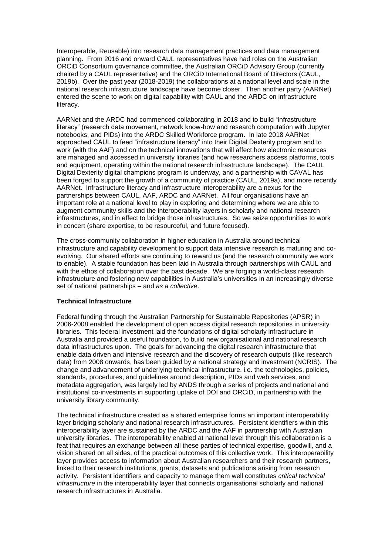Interoperable, Reusable) into research data management practices and data management planning. From 2016 and onward CAUL representatives have had roles on the Australian ORCiD Consortium governance committee, the Australian ORCiD Advisory Group (currently chaired by a CAUL representative) and the ORCiD International Board of Directors (CAUL, 2019b). Over the past year (2018-2019) the collaborations at a national level and scale in the national research infrastructure landscape have become closer. Then another party (AARNet) entered the scene to work on digital capability with CAUL and the ARDC on infrastructure literacy.

AARNet and the ARDC had commenced collaborating in 2018 and to build "infrastructure literacy" (research data movement, network know-how and research computation with Jupyter notebooks, and PIDs) into the ARDC Skilled Workforce program. In late 2018 AARNet approached CAUL to feed "infrastructure literacy" into their Digital Dexterity program and to work (with the AAF) and on the technical innovations that will affect how electronic resources are managed and accessed in university libraries (and how researchers access platforms, tools and equipment, operating within the national research infrastructure landscape). The CAUL Digital Dexterity digital champions program is underway, and a partnership with CAVAL has been forged to support the growth of a community of practice (CAUL, 2019a), and more recently AARNet. Infrastructure literacy and infrastructure interoperability are a nexus for the partnerships between CAUL, AAF, ARDC and AARNet. All four organisations have an important role at a national level to play in exploring and determining where we are able to augment community skills and the interoperability layers in scholarly and national research infrastructures, and in effect to bridge those infrastructures. So we seize opportunities to work in concert (share expertise, to be resourceful, and future focused).

The cross-community collaboration in higher education in Australia around technical infrastructure and capability development to support data intensive research is maturing and coevolving. Our shared efforts are continuing to reward us (and the research community we work to enable). A stable foundation has been laid in Australia through partnerships with CAUL and with the ethos of collaboration over the past decade. We are forging a world-class research infrastructure and fostering new capabilities in Australia's universities in an increasingly diverse set of national partnerships – and *as a collective*.

## **Technical Infrastructure**

Federal funding through the Australian Partnership for Sustainable Repositories (APSR) in 2006-2008 enabled the development of open access digital research repositories in university libraries. This federal investment laid the foundations of digital scholarly infrastructure in Australia and provided a useful foundation, to build new organisational and national research data infrastructures upon. The goals for advancing the digital research infrastructure that enable data driven and intensive research and the discovery of research outputs (like research data) from 2008 onwards, has been guided by a national strategy and investment (NCRIS). The change and advancement of underlying technical infrastructure, i.e. the technologies, policies, standards, procedures, and guidelines around description, PIDs and web services, and metadata aggregation, was largely led by ANDS through a series of projects and national and institutional co-investments in supporting uptake of DOI and ORCiD, in partnership with the university library community.

The technical infrastructure created as a shared enterprise forms an important interoperability layer bridging scholarly and national research infrastructures. Persistent identifiers within this interoperability layer are sustained by the ARDC and the AAF in partnership with Australian university libraries. The interoperability enabled at national level through this collaboration is a feat that requires an exchange between all these parties of technical expertise, goodwill, and a vision shared on all sides, of the practical outcomes of this collective work. This interoperability layer provides access to information about Australian researchers and their research partners, linked to their research institutions, grants, datasets and publications arising from research activity. Persistent identifiers and capacity to manage them well constitutes *critical technical infrastructure* in the interoperability layer that connects organisational scholarly and national research infrastructures in Australia.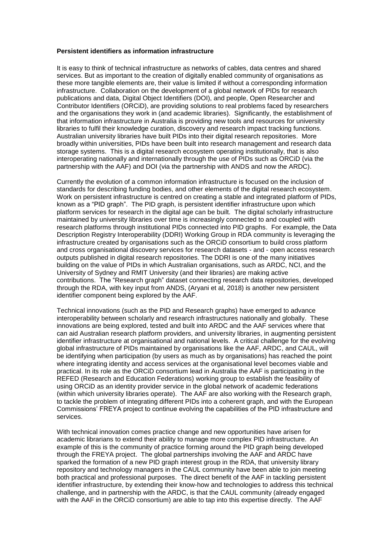#### **Persistent identifiers as information infrastructure**

It is easy to think of technical infrastructure as networks of cables, data centres and shared services. But as important to the creation of digitally enabled community of organisations as these more tangible elements are, their value is limited if without a corresponding information infrastructure. Collaboration on the development of a global network of PIDs for research publications and data, Digital Object Identifiers (DOI), and people, Open Researcher and Contributor Identifiers (ORCiD), are providing solutions to real problems faced by researchers and the organisations they work in (and academic libraries). Significantly, the establishment of that information infrastructure in Australia is providing new tools and resources for university libraries to fulfil their knowledge curation, discovery and research impact tracking functions. Australian university libraries have built PIDs into their digital research repositories. More broadly within universities, PIDs have been built into research management and research data storage systems. This is a digital research ecosystem operating institutionally, that is also interoperating nationally and internationally through the use of PIDs such as ORCiD (via the partnership with the AAF) and DOI (via the partnership with ANDS and now the ARDC).

Currently the evolution of a common information infrastructure is focused on the inclusion of standards for describing funding bodies, and other elements of the digital research ecosystem. Work on persistent infrastructure is centred on creating a stable and integrated platform of PIDs, known as a "PID graph". The PID graph, is persistent identifier infrastructure upon which platform services for research in the digital age can be built. The digital scholarly infrastructure maintained by university libraries over time is increasingly connected to and coupled with research platforms through institutional PIDs connected into PID graphs. For example, the Data Description Registry Interoperability (DDRI) Working Group in RDA community is leveraging the infrastructure created by organisations such as the ORCiD consortium to build cross platform and cross organisational discovery services for research datasets - and - open access research outputs published in digital research repositories. The DDRI is one of the many initiatives building on the value of PIDs in which Australian organisations, such as ARDC, NCI, and the University of Sydney and RMIT University (and their libraries) are making active contributions. The "Research graph" dataset connecting research data repositories, developed through the RDA, with key input from ANDS, (Aryani et al, 2018) is another new persistent identifier component being explored by the AAF.

Technical innovations (such as the PID and Research graphs) have emerged to advance interoperability between scholarly and research infrastructures nationally and globally. These innovations are being explored, tested and built into ARDC and the AAF services where that can aid Australian research platform providers, and university libraries, in augmenting persistent identifier infrastructure at organisational and national levels. A critical challenge for the evolving global infrastructure of PIDs maintained by organisations like the AAF, ARDC, and CAUL, will be identifying when participation (by users as much as by organisations) has reached the point where integrating identity and access services at the organisational level becomes viable and practical. In its role as the ORCiD consortium lead in Australia the AAF is participating in the REFED (Research and Education Federations) working group to establish the feasibility of using ORCiD as an identity provider service in the global network of academic federations (within which university libraries operate). The AAF are also working with the Research graph, to tackle the problem of integrating different PIDs into a coherent graph, and with the European Commissions' FREYA project to continue evolving the capabilities of the PID infrastructure and services.

With technical innovation comes practice change and new opportunities have arisen for academic librarians to extend their ability to manage more complex PID infrastructure. An example of this is the community of practice forming around the PID graph being developed through the FREYA project. The global partnerships involving the AAF and ARDC have sparked the formation of a new PID graph interest group in the RDA, that university library repository and technology managers in the CAUL community have been able to join meeting both practical and professional purposes. The direct benefit of the AAF in tackling persistent identifier infrastructure, by extending their know-how and technologies to address this technical challenge, and in partnership with the ARDC, is that the CAUL community (already engaged with the AAF in the ORCiD consortium) are able to tap into this expertise directly. The AAF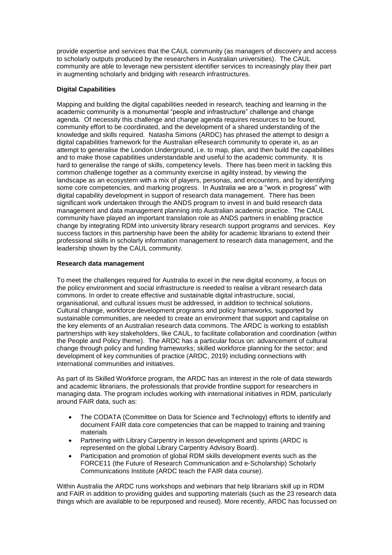provide expertise and services that the CAUL community (as managers of discovery and access to scholarly outputs produced by the researchers in Australian universities). The CAUL community are able to leverage new persistent identifier services to increasingly play their part in augmenting scholarly and bridging with research infrastructures.

# **Digital Capabilities**

Mapping and building the digital capabilities needed in research, teaching and learning in the academic community is a monumental "people and infrastructure" challenge and change agenda. Of necessity this challenge and change agenda requires resources to be found, community effort to be coordinated, and the development of a shared understanding of the knowledge and skills required. Natasha Simons (ARDC) has phrased the attempt to design a digital capabilities framework for the Australian eResearch community to operate in, as an attempt to generalise the London Underground, i.e. to map, plan, and then build the capabilities and to make those capabilities understandable and useful to the academic community. It is hard to generalise the range of skills, competency levels. There has been merit in tackling this common challenge together as a community exercise in agility instead, by viewing the landscape as an ecosystem with a mix of players, personas, and encounters, and by identifying some core competencies, and marking progress. In Australia we are a "work in progress" with digital capability development in support of research data management. There has been significant work undertaken through the ANDS program to invest in and build research data management and data management planning into Australian academic practice. The CAUL community have played an important translation role as ANDS partners in enabling practice change by integrating RDM into university library research support programs and services. Key success factors in this partnership have been the ability for academic librarians to extend their professional skills in scholarly information management to research data management, and the leadership shown by the CAUL community.

# **Research data management**

To meet the challenges required for Australia to excel in the new digital economy, a focus on the policy environment and social infrastructure is needed to realise a vibrant research data commons. In order to create effective and sustainable digital infrastructure, social, organisational, and cultural issues must be addressed, in addition to technical solutions. Cultural change, workforce development programs and policy frameworks, supported by sustainable communities, are needed to create an environment that support and capitalise on the key elements of an Australian research data commons. The ARDC is working to establish partnerships with key stakeholders, like CAUL, to facilitate collaboration and coordination (within the People and Policy theme). The ARDC has a particular focus on: advancement of cultural change through policy and funding frameworks; skilled workforce planning for the sector; and development of key communities of practice (ARDC, 2019) including connections with international communities and initiatives.

As part of its Skilled Workforce program, the ARDC has an interest in the role of data stewards and academic librarians, the professionals that provide frontline support for researchers in managing data. The program includes working with international initiatives in RDM, particularly around FAIR data, such as:

- The CODATA (Committee on Data for Science and Technology) efforts to identify and document FAIR data core competencies that can be mapped to training and training materials
- Partnering with Library Carpentry in lesson development and sprints (ARDC is represented on the global Library Carpentry Advisory Board).
- Participation and promotion of global RDM skills development events such as the FORCE11 (the Future of Research Communication and e-Scholarship) Scholarly Communications Institute (ARDC teach the FAIR data course).

Within Australia the ARDC runs workshops and webinars that help librarians skill up in RDM and FAIR in addition to providing guides and supporting materials (such as the 23 research data things which are available to be repurposed and reused). More recently, ARDC has focussed on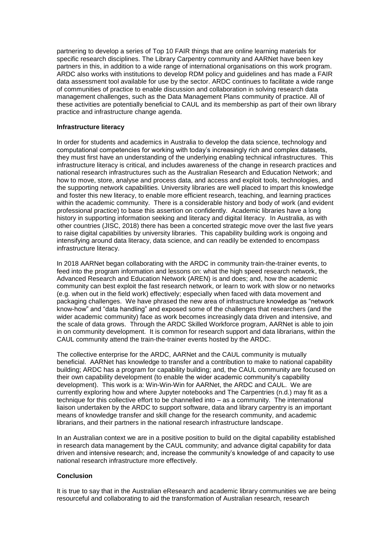partnering to develop a series of Top 10 FAIR things that are online learning materials for specific research disciplines. The Library Carpentry community and AARNet have been key partners in this, in addition to a wide range of international organisations on this work program. ARDC also works with institutions to develop RDM policy and guidelines and has made a FAIR data assessment tool available for use by the sector. ARDC continues to facilitate a wide range of communities of practice to enable discussion and collaboration in solving research data management challenges, such as the Data Management Plans community of practice. All of these activities are potentially beneficial to CAUL and its membership as part of their own library practice and infrastructure change agenda.

## **Infrastructure literacy**

In order for students and academics in Australia to develop the data science, technology and computational competencies for working with today's increasingly rich and complex datasets, they must first have an understanding of the underlying enabling technical infrastructures. This infrastructure literacy is critical, and includes awareness of the change in research practices and national research infrastructures such as the Australian Research and Education Network; and how to move, store, analyse and process data, and access and exploit tools, technologies, and the supporting network capabilities. University libraries are well placed to impart this knowledge and foster this new literacy, to enable more efficient research, teaching, and learning practices within the academic community. There is a considerable history and body of work (and evident professional practice) to base this assertion on confidently. Academic libraries have a long history in supporting information seeking and literacy and digital literacy. In Australia, as with other countries (JISC, 2018) there has been a concerted strategic move over the last five years to raise digital capabilities by university libraries. This capability building work is ongoing and intensifying around data literacy, data science, and can readily be extended to encompass infrastructure literacy.

In 2018 AARNet began collaborating with the ARDC in community train-the-trainer events, to feed into the program information and lessons on: what the high speed research network, the Advanced Research and Education Network (AREN) is and does; and, how the academic community can best exploit the fast research network, or learn to work with slow or no networks (e.g. when out in the field work) effectively; especially when faced with data movement and packaging challenges. We have phrased the new area of infrastructure knowledge as "network know-how" and "data handling" and exposed some of the challenges that researchers (and the wider academic community) face as work becomes increasingly data driven and intensive, and the scale of data grows. Through the ARDC Skilled Workforce program, AARNet is able to join in on community development. It is common for research support and data librarians, within the CAUL community attend the train-the-trainer events hosted by the ARDC.

The collective enterprise for the ARDC, AARNet and the CAUL community is mutually beneficial. AARNet has knowledge to transfer and a contribution to make to national capability building; ARDC has a program for capability building; and, the CAUL community are focused on their own capability development (to enable the wider academic community's capability development). This work is a: Win-Win-Win for AARNet, the ARDC and CAUL. We are currently exploring how and where Jupyter notebooks and The Carpentries (n.d.) may fit as a technique for this collective effort to be channelled into – as a community. The international liaison undertaken by the ARDC to support software, data and library carpentry is an important means of knowledge transfer and skill change for the research community, and academic librarians, and their partners in the national research infrastructure landscape.

In an Australian context we are in a positive position to build on the digital capability established in research data management by the CAUL community; and advance digital capability for data driven and intensive research; and, increase the community's knowledge of and capacity to use national research infrastructure more effectively.

# **Conclusion**

It is true to say that in the Australian eResearch and academic library communities we are being resourceful and collaborating to aid the transformation of Australian research, research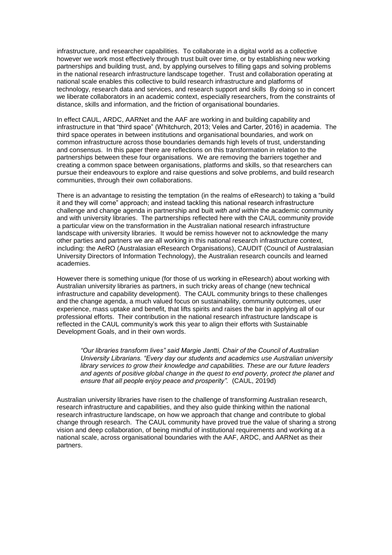infrastructure, and researcher capabilities. To collaborate in a digital world as a collective however we work most effectively through trust built over time, or by establishing new working partnerships and building trust, and, by applying ourselves to filling gaps and solving problems in the national research infrastructure landscape together. Trust and collaboration operating at national scale enables this collective to build research infrastructure and platforms of technology, research data and services, and research support and skills By doing so in concert we liberate collaborators in an academic context, especially researchers, from the constraints of distance, skills and information, and the friction of organisational boundaries.

In effect CAUL, ARDC, AARNet and the AAF are working in and building capability and infrastructure in that "third space" (Whitchurch, 2013; Veles and Carter, 2016) in academia. The third space operates in between institutions and organisational boundaries, and work on common infrastructure across those boundaries demands high levels of trust, understanding and consensus. In this paper there are reflections on this transformation in relation to the partnerships between these four organisations. We are removing the barriers together and creating a common space between organisations, platforms and skills, so that researchers can pursue their endeavours to explore and raise questions and solve problems, and build research communities, through their own collaborations.

There is an advantage to resisting the temptation (in the realms of eResearch) to taking a "build it and they will come" approach; and instead tackling this national research infrastructure challenge and change agenda in partnership and built *with and within* the academic community and with university libraries. The partnerships reflected here with the CAUL community provide a particular view on the transformation in the Australian national research infrastructure landscape with university libraries. It would be remiss however not to acknowledge the many other parties and partners we are all working in this national research infrastructure context, including: the AeRO (Australasian eResearch Organisations), CAUDIT (Council of Australasian University Directors of Information Technology), the Australian research councils and learned academies.

However there is something unique (for those of us working in eResearch) about working with Australian university libraries as partners, in such tricky areas of change (new technical infrastructure and capability development). The CAUL community brings to these challenges and the change agenda, a much valued focus on sustainability, community outcomes, user experience, mass uptake and benefit, that lifts spirits and raises the bar in applying all of our professional efforts. Their contribution in the national research infrastructure landscape is reflected in the CAUL community's work this year to align their efforts with Sustainable Development Goals, and in their own words.

*"Our libraries transform lives" said Margie Jantti, Chair of the Council of Australian University Librarians. "Every day our students and academics use Australian university library services to grow their knowledge and capabilities. These are our future leaders and agents of positive global change in the quest to end poverty, protect the planet and ensure that all people enjoy peace and prosperity".* (CAUL, 2019d)

Australian university libraries have risen to the challenge of transforming Australian research, research infrastructure and capabilities, and they also guide thinking within the national research infrastructure landscape, on how we approach that change and contribute to global change through research. The CAUL community have proved true the value of sharing a strong vision and deep collaboration, of being mindful of institutional requirements and working at a national scale, across organisational boundaries with the AAF, ARDC, and AARNet as their partners.